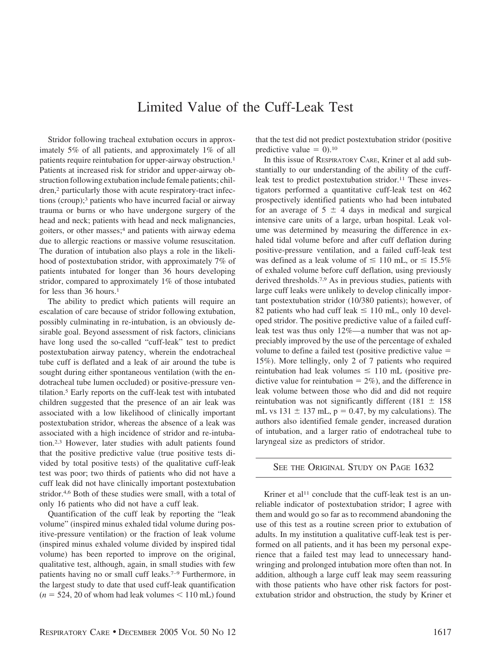## Limited Value of the Cuff-Leak Test

Stridor following tracheal extubation occurs in approximately 5% of all patients, and approximately 1% of all patients require reintubation for upper-airway obstruction.<sup>1</sup> Patients at increased risk for stridor and upper-airway obstruction following extubation include female patients; children,<sup>2</sup> particularly those with acute respiratory-tract infections (croup);3 patients who have incurred facial or airway trauma or burns or who have undergone surgery of the head and neck; patients with head and neck malignancies, goiters, or other masses;<sup>4</sup> and patients with airway edema due to allergic reactions or massive volume resuscitation. The duration of intubation also plays a role in the likelihood of postextubation stridor, with approximately 7% of patients intubated for longer than 36 hours developing stridor, compared to approximately 1% of those intubated for less than 36 hours.<sup>1</sup>

The ability to predict which patients will require an escalation of care because of stridor following extubation, possibly culminating in re-intubation, is an obviously desirable goal. Beyond assessment of risk factors, clinicians have long used the so-called "cuff-leak" test to predict postextubation airway patency, wherein the endotracheal tube cuff is deflated and a leak of air around the tube is sought during either spontaneous ventilation (with the endotracheal tube lumen occluded) or positive-pressure ventilation.5 Early reports on the cuff-leak test with intubated children suggested that the presence of an air leak was associated with a low likelihood of clinically important postextubation stridor, whereas the absence of a leak was associated with a high incidence of stridor and re-intubation.2,3 However, later studies with adult patients found that the positive predictive value (true positive tests divided by total positive tests) of the qualitative cuff-leak test was poor; two thirds of patients who did not have a cuff leak did not have clinically important postextubation stridor.4,6 Both of these studies were small, with a total of only 16 patients who did not have a cuff leak.

Quantification of the cuff leak by reporting the "leak volume" (inspired minus exhaled tidal volume during positive-pressure ventilation) or the fraction of leak volume (inspired minus exhaled volume divided by inspired tidal volume) has been reported to improve on the original, qualitative test, although, again, in small studies with few patients having no or small cuff leaks.7–9 Furthermore, in the largest study to date that used cuff-leak quantification  $(n = 524, 20$  of whom had leak volumes  $\leq 110$  mL) found

that the test did not predict postextubation stridor (positive predictive value  $= 0$ ).<sup>10</sup>

In this issue of RESPIRATORY CARE, Kriner et al add substantially to our understanding of the ability of the cuffleak test to predict postextubation stridor.<sup>11</sup> These investigators performed a quantitative cuff-leak test on 462 prospectively identified patients who had been intubated for an average of  $5 \pm 4$  days in medical and surgical intensive care units of a large, urban hospital. Leak volume was determined by measuring the difference in exhaled tidal volume before and after cuff deflation during positive-pressure ventilation, and a failed cuff-leak test was defined as a leak volume of  $\leq 110$  mL, or  $\leq 15.5\%$ of exhaled volume before cuff deflation, using previously derived thresholds.7,9 As in previous studies, patients with large cuff leaks were unlikely to develop clinically important postextubation stridor (10/380 patients); however, of 82 patients who had cuff leak  $\leq$  110 mL, only 10 developed stridor. The positive predictive value of a failed cuffleak test was thus only 12%—a number that was not appreciably improved by the use of the percentage of exhaled volume to define a failed test (positive predictive value 15%). More tellingly, only 2 of 7 patients who required reintubation had leak volumes  $\leq 110$  mL (positive predictive value for reintubation  $= 2\%$ ), and the difference in leak volume between those who did and did not require reintubation was not significantly different (181  $\pm$  158 mL vs  $131 \pm 137$  mL,  $p = 0.47$ , by my calculations). The authors also identified female gender, increased duration of intubation, and a larger ratio of endotracheal tube to laryngeal size as predictors of stridor.

## SEE THE ORIGINAL STUDY ON PAGE 1632

Kriner et al<sup>11</sup> conclude that the cuff-leak test is an unreliable indicator of postextubation stridor; I agree with them and would go so far as to recommend abandoning the use of this test as a routine screen prior to extubation of adults. In my institution a qualitative cuff-leak test is performed on all patients, and it has been my personal experience that a failed test may lead to unnecessary handwringing and prolonged intubation more often than not. In addition, although a large cuff leak may seem reassuring with those patients who have other risk factors for postextubation stridor and obstruction, the study by Kriner et